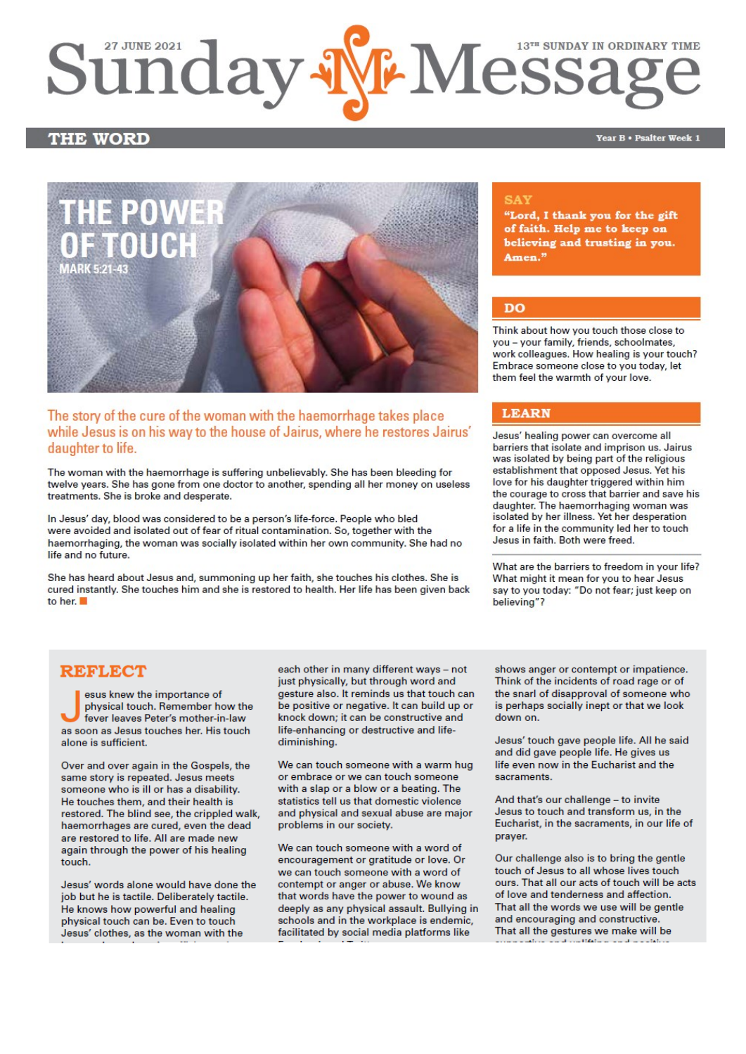# an DIRE 2021 de 2021 de 2021 de Alessand en March de Contrar de Contrar de Time

# **THE WORD**

Year B . Psalter Week 1



# The story of the cure of the woman with the haemorrhage takes place while Jesus is on his way to the house of Jairus, where he restores Jairus' daughter to life.

The woman with the haemorrhage is suffering unbelievably. She has been bleeding for twelve years. She has gone from one doctor to another, spending all her money on useless treatments. She is broke and desperate.

In Jesus' day, blood was considered to be a person's life-force. People who bled were avoided and isolated out of fear of ritual contamination. So, together with the haemorrhaging, the woman was socially isolated within her own community. She had no life and no future.

She has heard about Jesus and, summoning up her faith, she touches his clothes. She is cured instantly. She touches him and she is restored to health. Her life has been given back to her.

#### **SAY**

"Lord, I thank you for the gift of faith. Help me to keep on believing and trusting in you. Amen."

# DO

Think about how you touch those close to you - your family, friends, schoolmates, work colleagues. How healing is your touch? Embrace someone close to you today, let them feel the warmth of your love.

## **LEARN**

Jesus' healing power can overcome all barriers that isolate and imprison us. Jairus was isolated by being part of the religious establishment that opposed Jesus. Yet his love for his daughter triggered within him the courage to cross that barrier and save his daughter. The haemorrhaging woman was isolated by her illness. Yet her desperation for a life in the community led her to touch Jesus in faith. Both were freed.

What are the barriers to freedom in your life? What might it mean for you to hear Jesus say to you today: "Do not fear; just keep on believing"?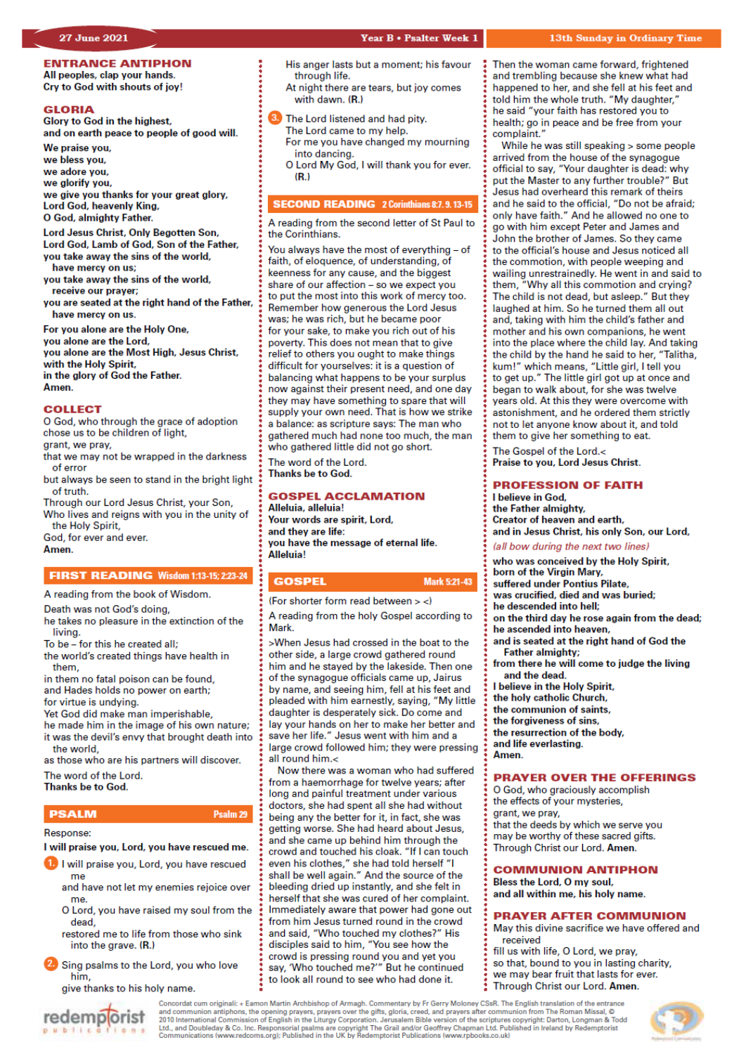#### **ENTRANCE ANTIPHON** All peoples, clap your hands.

Cry to God with shouts of joy!

#### **GLORIA**

Glory to God in the highest, and on earth peace to people of good will.

We praise you.

we bless you,

we adore you, we glorify you,

we give you thanks for your great glory,

Lord God, heavenly King, O God, almighty Father.

Lord Jesus Christ, Only Begotten Son, Lord God, Lamb of God, Son of the Father, you take away the sins of the world, have mercy on us;

- you take away the sins of the world, receive our prayer;
- you are seated at the right hand of the Father, have mercy on us

For you alone are the Holy One, you alone are the Lord, you alone are the Most High, Jesus Christ, with the Holy Spirit, in the glory of God the Father. Amen.

#### **COLLECT**

O God, who through the grace of adoption chose us to be children of light,

grant, we pray, that we may not be wrapped in the darkness

of error but always be seen to stand in the bright light of truth.

Through our Lord Jesus Christ, your Son, Who lives and reigns with you in the unity of

the Holy Spirit,

God, for ever and ever. Amen.

### **FIRST READING Wisdom 1:13-15; 2:23-24**

A reading from the book of Wisdom.

Death was not God's doing, he takes no pleasure in the extinction of the

living. To be - for this be created all:

the world's created things have health in them

in them no fatal poison can be found. and Hades holds no power on earth;

for virtue is undving

Yet God did make man imperishable.

he made him in the image of his own nature; it was the devil's envy that brought death into the world.

as those who are his partners will discover.

The word of the Lord.

**Thanks be to God** 

#### **PSALM**

Response:

I will praise you. Lord, you have rescued me.

1. I will praise you, Lord, you have rescued me and have not let my enemies rejoice over

Psalm 29

- me. O Lord, you have raised my soul from the
- dead.
- restored me to life from those who sink into the grave. (R.)
- 2. Sing psalms to the Lord, you who love him,

give thanks to his holy name.



- His anger lasts but a moment; his favour through life.
- At night there are tears, but joy comes with dawn. (R.)
- The Lord listened and had pity. The Lord came to my help.
	- For me you have changed my mourning
	- into dancing. O Lord My God, I will thank you for ever.  $(R)$

#### **SECOND READING 2 Corinthians 8:7.9.13-15**

A reading from the second letter of St Paul to the Corinthians.

You always have the most of everything - of faith, of eloquence, of understanding, of keenness for any cause, and the biggest share of our affection - so we expect you to put the most into this work of mercy too. Remember how generous the Lord Jesus was; he was rich, but he became poor for your sake, to make you rich out of his poverty. This does not mean that to give relief to others you ought to make things difficult for yourselves: it is a question of balancing what happens to be your surplus now against their present need, and one day they may have something to spare that will supply your own need. That is how we strike a balance: as scripture says: The man who gathered much had none too much, the man who gathered little did not go short.

The word of the Lord. Thanks be to God.

#### **GOSPEL ACCLAMATION**

Alleluia, alleluia! Your words are spirit, Lord, and they are life: you have the message of eternal life. Alleluia!

#### **GOSPEL**

(For shorter form read between  $>$  <)

A reading from the holy Gospel according to Mark.

**Mark 5:21-43** 

>When Jesus had crossed in the boat to the other side, a large crowd gathered round him and he stayed by the lakeside. Then one of the synagogue officials came up, Jairus by name, and seeing him, fell at his feet and pleaded with him earnestly, saying, "My little daughter is desperately sick. Do come and lay your hands on her to make her better and save her life." Jesus went with him and a large crowd followed him; they were pressing all round him.<

Now there was a woman who had suffered from a haemorrhage for twelve years; after long and painful treatment under various doctors, she had spent all she had without being any the better for it, in fact, she was getting worse. She had heard about Jesus, and she came up behind him through the crowd and touched his cloak. "If I can touch even his clothes," she had told herself "I shall be well again." And the source of the bleeding dried up instantly, and she felt in herself that she was cured of her complaint. Immediately aware that power had gone out from him Jesus turned round in the crowd and said, "Who touched my clothes?" His disciples said to him, "You see how the crowd is pressing round you and yet you<br>say, 'Who touched me?'" But he continued to look all round to see who had done it.

Then the woman came forward, frightened and trembling because she knew what had happened to her, and she fell at his feet and told him the whole truth. "My daughter," he said "your faith has restored you to health; go in peace and be free from your complaint.

While he was still speaking > some people arrived from the house of the synagogue official to say, "Your daughter is dead: why put the Master to any further trouble?" But Jesus had overheard this remark of theirs and he said to the official, "Do not be afraid; only have faith." And he allowed no one to go with him except Peter and James and John the brother of James. So they came to the official's house and Jesus noticed all the commotion, with people weeping and wailing unrestrainedly. He went in and said to them, "Why all this commotion and crying? The child is not dead, but asleep." But they laughed at him. So he turned them all out and, taking with him the child's father and mother and his own companions, he went into the place where the child lay. And taking the child by the hand he said to her, "Talitha, kum!" which means, "Little girl, I tell you to get up." The little girl got up at once and began to walk about, for she was twelve years old. At this they were overcome with astonishment, and he ordered them strictly not to let anyone know about it, and told them to give her something to eat.

The Gospel of the Lord.< Praise to you, Lord Jesus Christ.

#### **PROFESSION OF FAITH**

I believe in God, the Father almighty, Creator of heaven and earth, and in Jesus Christ, his only Son, our Lord,

(all bow during the next two lines)

who was conceived by the Holy Spirit, born of the Virgin Mary. suffered under Pontius Pilate, was crucified, died and was buried; he descended into hell: on the third day he rose again from the dead; he ascended into heaven. and is seated at the right hand of God the **Father almighty;** from there he will come to judge the living and the dead. I believe in the Holy Spirit, the holy catholic Church, the communion of saints. the forgiveness of sins, the resurrection of the body. and life everlasting. Amen.

#### **PRAYER OVER THE OFFERINGS**

O God, who graciously accomplish the effects of your mysteries, grant, we pray, that the deeds by which we serve you may be worthy of these sacred gifts. Through Christ our Lord, Amen.

#### **COMMUNION ANTIPHON**

Bless the Lord, O my soul, and all within me, his holy name.

#### **PRAYER AFTER COMMUNION**

May this divine sacrifice we have offered and received

fill us with life, O Lord, we pray, so that, bound to you in lasting charity, we may bear fruit that lasts for ever. Through Christ our Lord. Amen.

Concordat cum originali: + Eamon Martin Archbishop of Armagh. Commentary by Fr Gerry Moloney CSsR. The English translation of the entrance<br>and communion antiphons, the opening prayers, prayers over the gifts, gloria, creed



ş